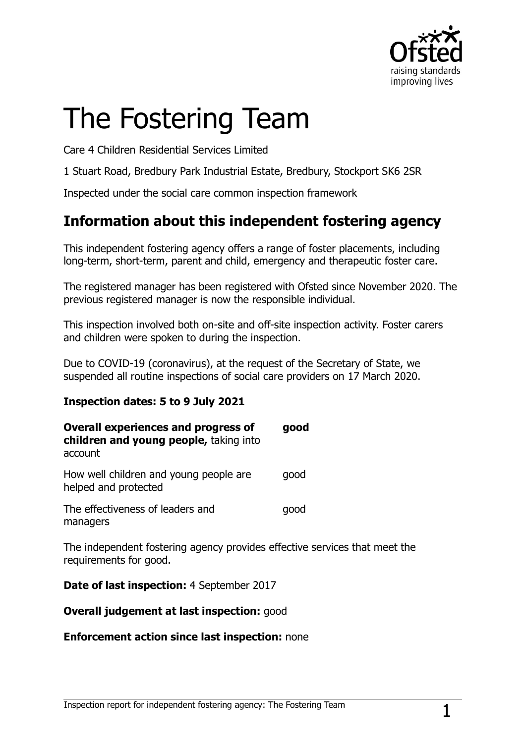

# The Fostering Team

Care 4 Children Residential Services Limited

1 Stuart Road, Bredbury Park Industrial Estate, Bredbury, Stockport SK6 2SR

Inspected under the social care common inspection framework

## **Information about this independent fostering agency**

This independent fostering agency offers a range of foster placements, including long-term, short-term, parent and child, emergency and therapeutic foster care.

The registered manager has been registered with Ofsted since November 2020. The previous registered manager is now the responsible individual.

This inspection involved both on-site and off-site inspection activity. Foster carers and children were spoken to during the inspection.

Due to COVID-19 (coronavirus), at the request of the Secretary of State, we suspended all routine inspections of social care providers on 17 March 2020.

#### **Inspection dates: 5 to 9 July 2021**

| <b>Overall experiences and progress of</b><br>children and young people, taking into<br>account | good |
|-------------------------------------------------------------------------------------------------|------|
| How well children and young people are<br>helped and protected                                  | qood |
| The effectiveness of leaders and<br>managers                                                    | qood |

The independent fostering agency provides effective services that meet the requirements for good.

**Date of last inspection:** 4 September 2017

**Overall judgement at last inspection:** good

#### **Enforcement action since last inspection:** none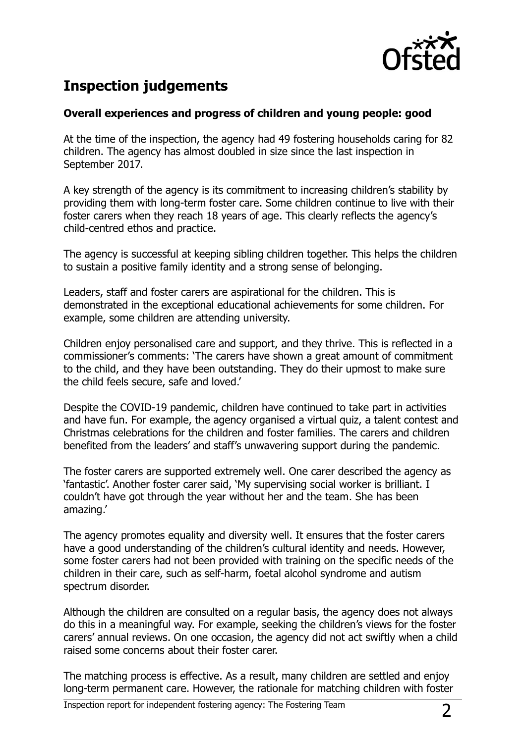

# **Inspection judgements**

#### **Overall experiences and progress of children and young people: good**

At the time of the inspection, the agency had 49 fostering households caring for 82 children. The agency has almost doubled in size since the last inspection in September 2017.

A key strength of the agency is its commitment to increasing children's stability by providing them with long-term foster care. Some children continue to live with their foster carers when they reach 18 years of age. This clearly reflects the agency's child-centred ethos and practice.

The agency is successful at keeping sibling children together. This helps the children to sustain a positive family identity and a strong sense of belonging.

Leaders, staff and foster carers are aspirational for the children. This is demonstrated in the exceptional educational achievements for some children. For example, some children are attending university.

Children enjoy personalised care and support, and they thrive. This is reflected in a commissioner's comments: 'The carers have shown a great amount of commitment to the child, and they have been outstanding. They do their upmost to make sure the child feels secure, safe and loved.'

Despite the COVID-19 pandemic, children have continued to take part in activities and have fun. For example, the agency organised a virtual quiz, a talent contest and Christmas celebrations for the children and foster families. The carers and children benefited from the leaders' and staff's unwavering support during the pandemic.

The foster carers are supported extremely well. One carer described the agency as 'fantastic'. Another foster carer said, 'My supervising social worker is brilliant. I couldn't have got through the year without her and the team. She has been amazing.'

The agency promotes equality and diversity well. It ensures that the foster carers have a good understanding of the children's cultural identity and needs. However, some foster carers had not been provided with training on the specific needs of the children in their care, such as self-harm, foetal alcohol syndrome and autism spectrum disorder.

Although the children are consulted on a regular basis, the agency does not always do this in a meaningful way. For example, seeking the children's views for the foster carers' annual reviews. On one occasion, the agency did not act swiftly when a child raised some concerns about their foster carer.

The matching process is effective. As a result, many children are settled and enjoy long-term permanent care. However, the rationale for matching children with foster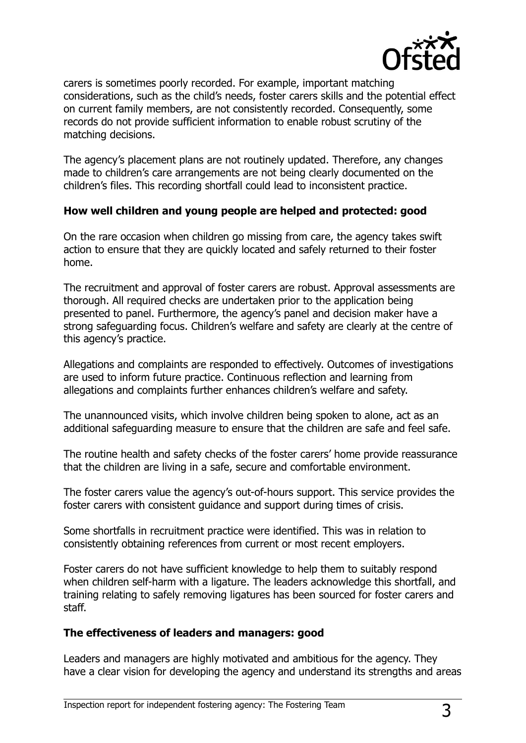

carers is sometimes poorly recorded. For example, important matching considerations, such as the child's needs, foster carers skills and the potential effect on current family members, are not consistently recorded. Consequently, some records do not provide sufficient information to enable robust scrutiny of the matching decisions.

The agency's placement plans are not routinely updated. Therefore, any changes made to children's care arrangements are not being clearly documented on the children's files. This recording shortfall could lead to inconsistent practice.

#### **How well children and young people are helped and protected: good**

On the rare occasion when children go missing from care, the agency takes swift action to ensure that they are quickly located and safely returned to their foster home.

The recruitment and approval of foster carers are robust. Approval assessments are thorough. All required checks are undertaken prior to the application being presented to panel. Furthermore, the agency's panel and decision maker have a strong safeguarding focus. Children's welfare and safety are clearly at the centre of this agency's practice.

Allegations and complaints are responded to effectively. Outcomes of investigations are used to inform future practice. Continuous reflection and learning from allegations and complaints further enhances children's welfare and safety.

The unannounced visits, which involve children being spoken to alone, act as an additional safeguarding measure to ensure that the children are safe and feel safe.

The routine health and safety checks of the foster carers' home provide reassurance that the children are living in a safe, secure and comfortable environment.

The foster carers value the agency's out-of-hours support. This service provides the foster carers with consistent guidance and support during times of crisis.

Some shortfalls in recruitment practice were identified. This was in relation to consistently obtaining references from current or most recent employers.

Foster carers do not have sufficient knowledge to help them to suitably respond when children self-harm with a ligature. The leaders acknowledge this shortfall, and training relating to safely removing ligatures has been sourced for foster carers and staff.

#### **The effectiveness of leaders and managers: good**

Leaders and managers are highly motivated and ambitious for the agency. They have a clear vision for developing the agency and understand its strengths and areas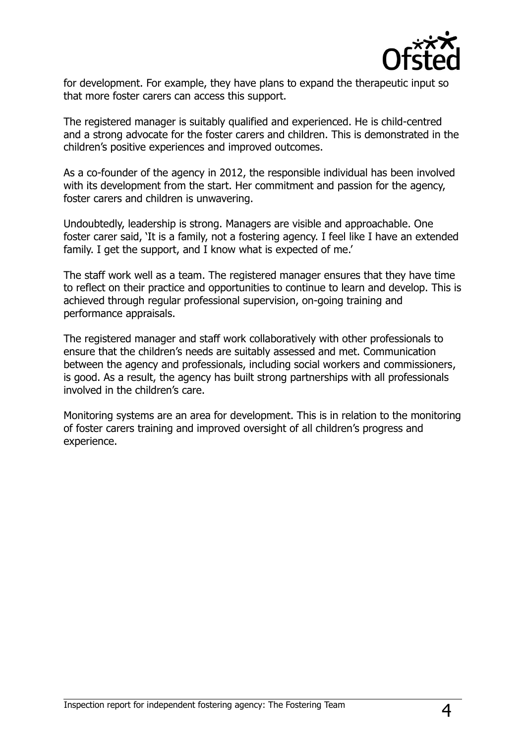

for development. For example, they have plans to expand the therapeutic input so that more foster carers can access this support.

The registered manager is suitably qualified and experienced. He is child-centred and a strong advocate for the foster carers and children. This is demonstrated in the children's positive experiences and improved outcomes.

As a co-founder of the agency in 2012, the responsible individual has been involved with its development from the start. Her commitment and passion for the agency, foster carers and children is unwavering.

Undoubtedly, leadership is strong. Managers are visible and approachable. One foster carer said, 'It is a family, not a fostering agency. I feel like I have an extended family. I get the support, and I know what is expected of me.'

The staff work well as a team. The registered manager ensures that they have time to reflect on their practice and opportunities to continue to learn and develop. This is achieved through regular professional supervision, on-going training and performance appraisals.

The registered manager and staff work collaboratively with other professionals to ensure that the children's needs are suitably assessed and met. Communication between the agency and professionals, including social workers and commissioners, is good. As a result, the agency has built strong partnerships with all professionals involved in the children's care.

Monitoring systems are an area for development. This is in relation to the monitoring of foster carers training and improved oversight of all children's progress and experience.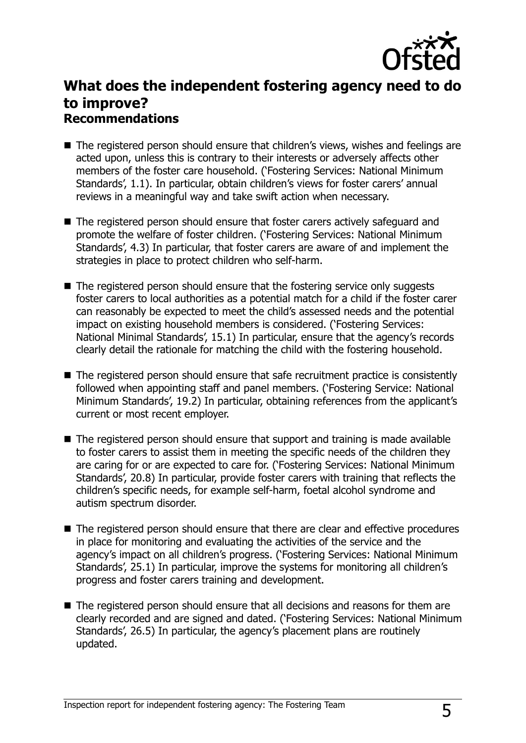

## **What does the independent fostering agency need to do to improve? Recommendations**

- The registered person should ensure that children's views, wishes and feelings are acted upon, unless this is contrary to their interests or adversely affects other members of the foster care household. ('Fostering Services: National Minimum Standards', 1.1). In particular, obtain children's views for foster carers' annual reviews in a meaningful way and take swift action when necessary.
- The registered person should ensure that foster carers actively safeguard and promote the welfare of foster children. ('Fostering Services: National Minimum Standards', 4.3) In particular, that foster carers are aware of and implement the strategies in place to protect children who self-harm.
- The registered person should ensure that the fostering service only suggests foster carers to local authorities as a potential match for a child if the foster carer can reasonably be expected to meet the child's assessed needs and the potential impact on existing household members is considered. ('Fostering Services: National Minimal Standards', 15.1) In particular, ensure that the agency's records clearly detail the rationale for matching the child with the fostering household.
- The registered person should ensure that safe recruitment practice is consistently followed when appointing staff and panel members. ('Fostering Service: National Minimum Standards', 19.2) In particular, obtaining references from the applicant's current or most recent employer.
- The registered person should ensure that support and training is made available to foster carers to assist them in meeting the specific needs of the children they are caring for or are expected to care for. ('Fostering Services: National Minimum Standards', 20.8) In particular, provide foster carers with training that reflects the children's specific needs, for example self-harm, foetal alcohol syndrome and autism spectrum disorder.
- The registered person should ensure that there are clear and effective procedures in place for monitoring and evaluating the activities of the service and the agency's impact on all children's progress. ('Fostering Services: National Minimum Standards', 25.1) In particular, improve the systems for monitoring all children's progress and foster carers training and development.
- The registered person should ensure that all decisions and reasons for them are clearly recorded and are signed and dated. ('Fostering Services: National Minimum Standards', 26.5) In particular, the agency's placement plans are routinely updated.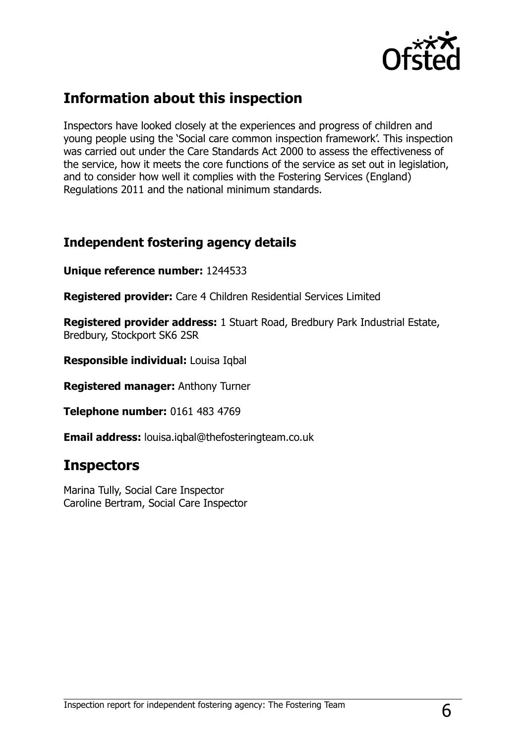

## **Information about this inspection**

Inspectors have looked closely at the experiences and progress of children and young people using the 'Social care common inspection framework'. This inspection was carried out under the Care Standards Act 2000 to assess the effectiveness of the service, how it meets the core functions of the service as set out in legislation, and to consider how well it complies with the Fostering Services (England) Regulations 2011 and the national minimum standards.

### **Independent fostering agency details**

**Unique reference number:** 1244533

**Registered provider:** Care 4 Children Residential Services Limited

**Registered provider address:** 1 Stuart Road, Bredbury Park Industrial Estate, Bredbury, Stockport SK6 2SR

**Responsible individual:** Louisa Iqbal

**Registered manager:** Anthony Turner

**Telephone number:** 0161 483 4769

**Email address:** louisa.iqbal@thefosteringteam.co.uk

## **Inspectors**

Marina Tully, Social Care Inspector Caroline Bertram, Social Care Inspector